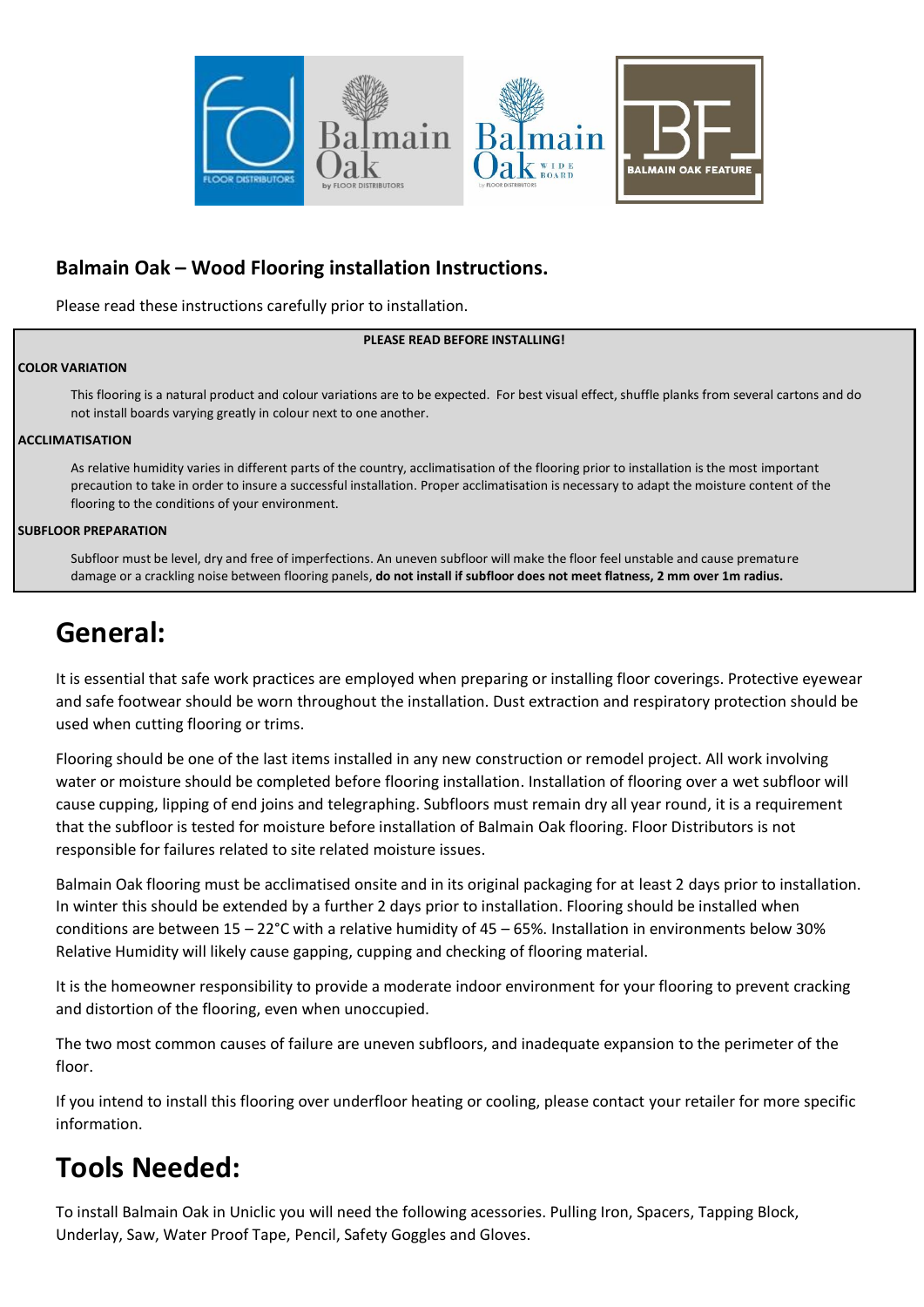

#### **Balmain Oak – Wood Flooring installation Instructions.**

Please read these instructions carefully prior to installation.

#### **PLEASE READ BEFORE INSTALLING!**

#### **COLOR VARIATION**

This flooring is a natural product and colour variations are to be expected. For best visual effect, shuffle planks from several cartons and do not install boards varying greatly in colour next to one another.

#### **ACCLIMATISATION**

As relative humidity varies in different parts of the country, acclimatisation of the flooring prior to installation is the most important precaution to take in order to insure a successful installation. Proper acclimatisation is necessary to adapt the moisture content of the flooring to the conditions of your environment.

#### **SUBFLOOR PREPARATION**

Subfloor must be level, dry and free of imperfections. An uneven subfloor will make the floor feel unstable and cause premature damage or a crackling noise between flooring panels, **do not install if subfloor does not meet flatness, 2 mm over 1m radius.**

### **General:**

It is essential that safe work practices are employed when preparing or installing floor coverings. Protective eyewear and safe footwear should be worn throughout the installation. Dust extraction and respiratory protection should be used when cutting flooring or trims.

Flooring should be one of the last items installed in any new construction or remodel project. All work involving water or moisture should be completed before flooring installation. Installation of flooring over a wet subfloor will cause cupping, lipping of end joins and telegraphing. Subfloors must remain dry all year round, it is a requirement that the subfloor is tested for moisture before installation of Balmain Oak flooring. Floor Distributors is not responsible for failures related to site related moisture issues.

Balmain Oak flooring must be acclimatised onsite and in its original packaging for at least 2 days prior to installation. In winter this should be extended by a further 2 days prior to installation. Flooring should be installed when conditions are between 15 – 22°C with a relative humidity of 45 – 65%. Installation in environments below 30% Relative Humidity will likely cause gapping, cupping and checking of flooring material.

It is the homeowner responsibility to provide a moderate indoor environment for your flooring to prevent cracking and distortion of the flooring, even when unoccupied.

The two most common causes of failure are uneven subfloors, and inadequate expansion to the perimeter of the floor.

If you intend to install this flooring over underfloor heating or cooling, please contact your retailer for more specific information.

### **Tools Needed:**

To install Balmain Oak in Uniclic you will need the following acessories. Pulling Iron, Spacers, Tapping Block, Underlay, Saw, Water Proof Tape, Pencil, Safety Goggles and Gloves.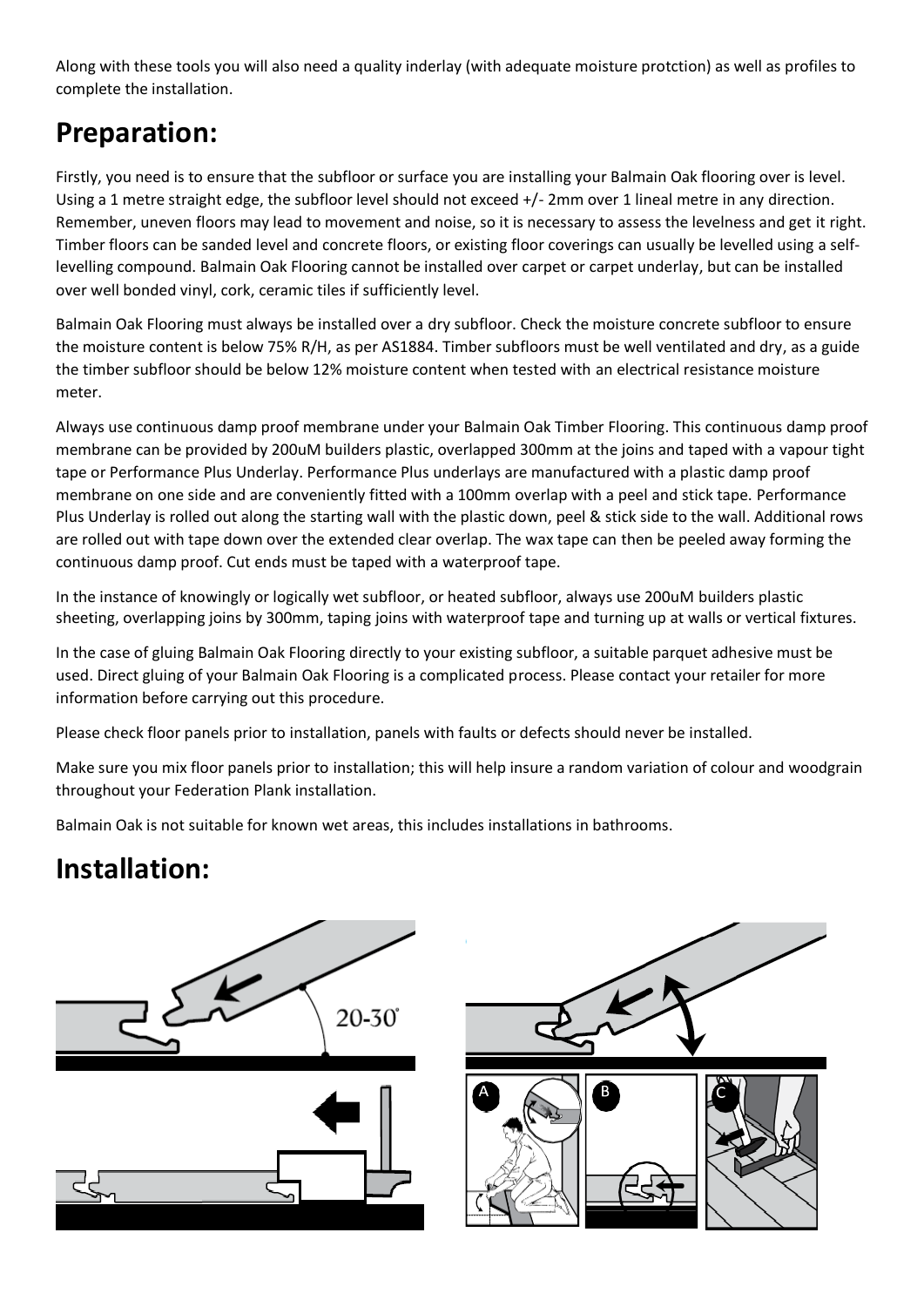Along with these tools you will also need a quality inderlay (with adequate moisture protction) as well as profiles to complete the installation.

## **Preparation:**

Firstly, you need is to ensure that the subfloor or surface you are installing your Balmain Oak flooring over is level. Using a 1 metre straight edge, the subfloor level should not exceed +/- 2mm over 1 lineal metre in any direction. Remember, uneven floors may lead to movement and noise, so it is necessary to assess the levelness and get it right. Timber floors can be sanded level and concrete floors, or existing floor coverings can usually be levelled using a selflevelling compound. Balmain Oak Flooring cannot be installed over carpet or carpet underlay, but can be installed over well bonded vinyl, cork, ceramic tiles if sufficiently level.

Balmain Oak Flooring must always be installed over a dry subfloor. Check the moisture concrete subfloor to ensure the moisture content is below 75% R/H, as per AS1884. Timber subfloors must be well ventilated and dry, as a guide the timber subfloor should be below 12% moisture content when tested with an electrical resistance moisture meter.

Always use continuous damp proof membrane under your Balmain Oak Timber Flooring. This continuous damp proof membrane can be provided by 200uM builders plastic, overlapped 300mm at the joins and taped with a vapour tight tape or Performance Plus Underlay. Performance Plus underlays are manufactured with a plastic damp proof membrane on one side and are conveniently fitted with a 100mm overlap with a peel and stick tape. Performance Plus Underlay is rolled out along the starting wall with the plastic down, peel & stick side to the wall. Additional rows are rolled out with tape down over the extended clear overlap. The wax tape can then be peeled away forming the continuous damp proof. Cut ends must be taped with a waterproof tape.

In the instance of knowingly or logically wet subfloor, or heated subfloor, always use 200uM builders plastic sheeting, overlapping joins by 300mm, taping joins with waterproof tape and turning up at walls or vertical fixtures.

In the case of gluing Balmain Oak Flooring directly to your existing subfloor, a suitable parquet adhesive must be used. Direct gluing of your Balmain Oak Flooring is a complicated process. Please contact your retailer for more information before carrying out this procedure.

Please check floor panels prior to installation, panels with faults or defects should never be installed.

Make sure you mix floor panels prior to installation; this will help insure a random variation of colour and woodgrain throughout your Federation Plank installation.

Balmain Oak is not suitable for known wet areas, this includes installations in bathrooms.

## **Installation:**

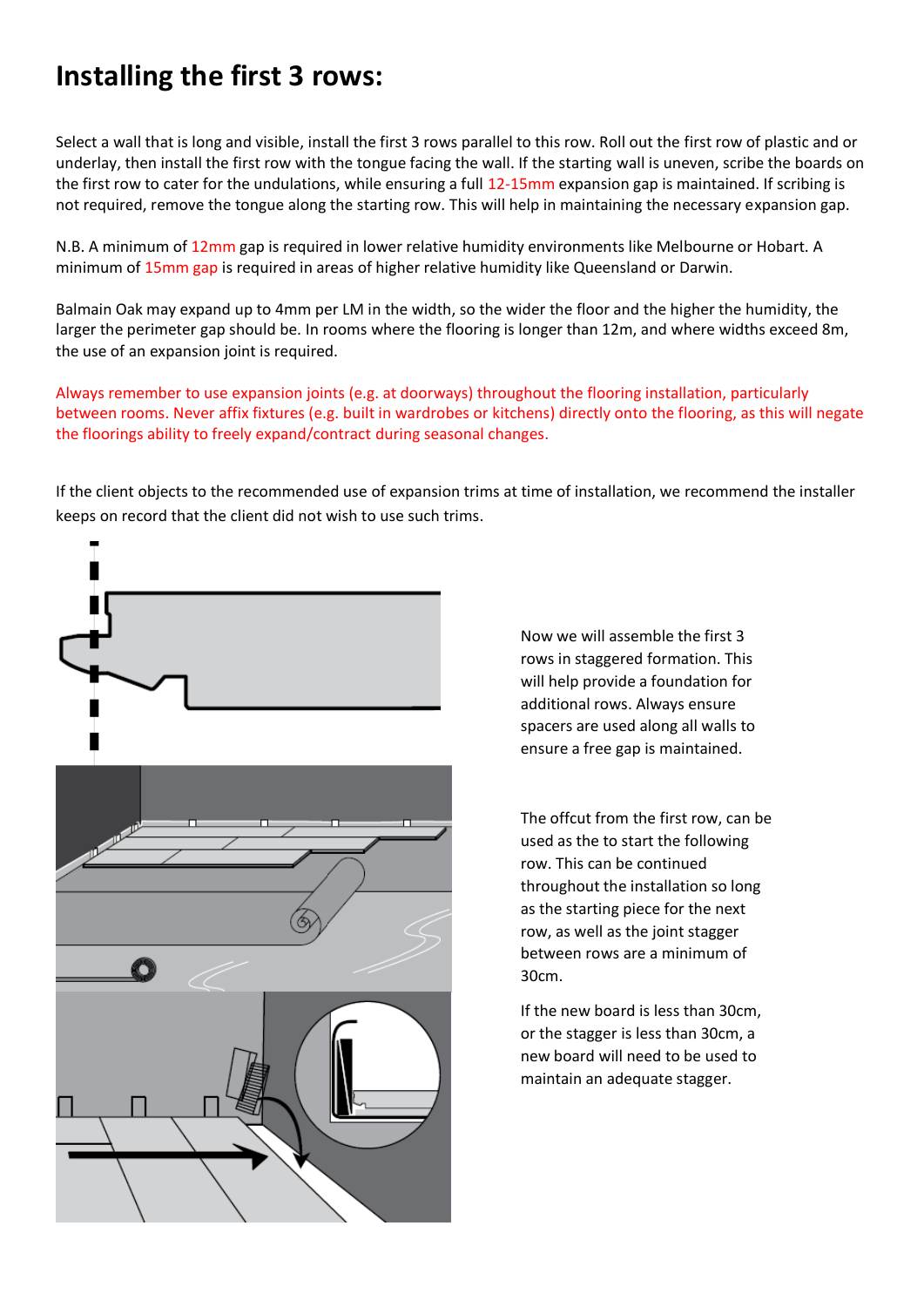### **Installing the first 3 rows:**

Select a wall that is long and visible, install the first 3 rows parallel to this row. Roll out the first row of plastic and or underlay, then install the first row with the tongue facing the wall. If the starting wall is uneven, scribe the boards on the first row to cater for the undulations, while ensuring a full 12-15mm expansion gap is maintained. If scribing is not required, remove the tongue along the starting row. This will help in maintaining the necessary expansion gap.

N.B. A minimum of 12mm gap is required in lower relative humidity environments like Melbourne or Hobart. A minimum of 15mm gap is required in areas of higher relative humidity like Queensland or Darwin.

Balmain Oak may expand up to 4mm per LM in the width, so the wider the floor and the higher the humidity, the larger the perimeter gap should be. In rooms where the flooring is longer than 12m, and where widths exceed 8m, the use of an expansion joint is required.

Always remember to use expansion joints (e.g. at doorways) throughout the flooring installation, particularly between rooms. Never affix fixtures (e.g. built in wardrobes or kitchens) directly onto the flooring, as this will negate the floorings ability to freely expand/contract during seasonal changes.

If the client objects to the recommended use of expansion trims at time of installation, we recommend the installer keeps on record that the client did not wish to use such trims.



Now we will assemble the first 3 rows in staggered formation. This will help provide a foundation for additional rows. Always ensure spacers are used along all walls to ensure a free gap is maintained.

The offcut from the first row, can be used as the to start the following row. This can be continued throughout the installation so long as the starting piece for the next row, as well as the joint stagger between rows are a minimum of 30cm.

If the new board is less than 30cm, or the stagger is less than 30cm, a new board will need to be used to maintain an adequate stagger.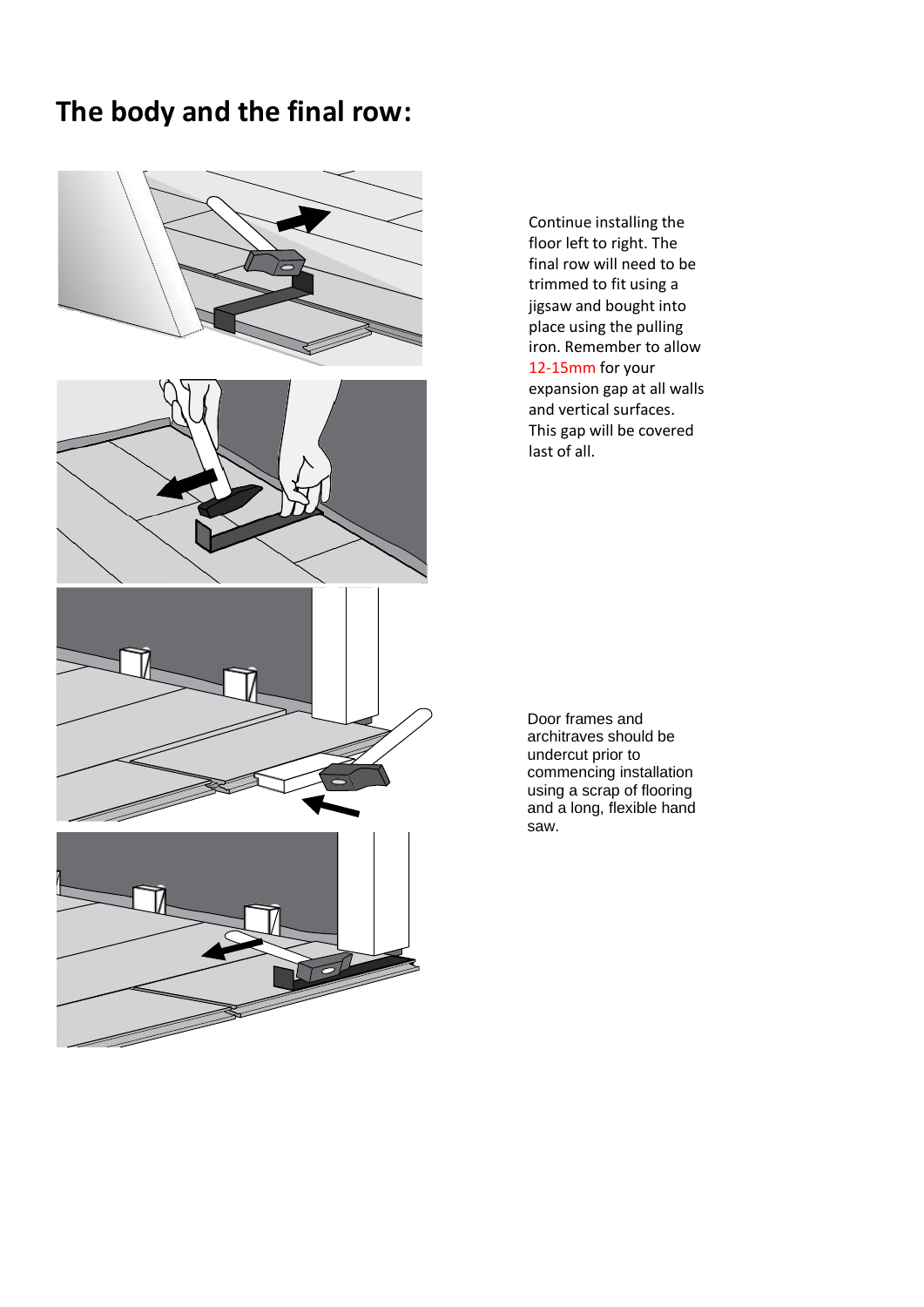#### **The body and the final row:**



Continue installing the floor left to right. The final row will need to be trimmed to fit using a jigsaw and bought into place using the pulling iron. Remember to allow 12-15mm for your expansion gap at all walls and vertical surfaces. This gap will be covered last of all.

Door frames and architraves should be undercut prior to commencing installation using a scrap of flooring and a long, flexible hand saw.